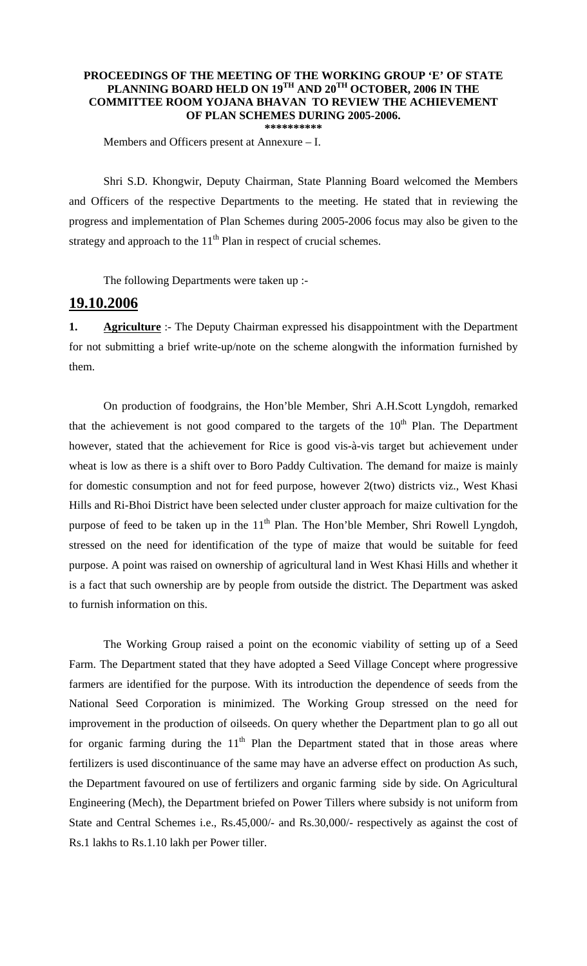## **PROCEEDINGS OF THE MEETING OF THE WORKING GROUP 'E' OF STATE PLANNING BOARD HELD ON 19TH AND 20TH OCTOBER, 2006 IN THE COMMITTEE ROOM YOJANA BHAVAN TO REVIEW THE ACHIEVEMENT OF PLAN SCHEMES DURING 2005-2006. \*\*\*\*\*\*\*\*\*\***

Members and Officers present at Annexure – I.

 Shri S.D. Khongwir, Deputy Chairman, State Planning Board welcomed the Members and Officers of the respective Departments to the meeting. He stated that in reviewing the progress and implementation of Plan Schemes during 2005-2006 focus may also be given to the strategy and approach to the  $11<sup>th</sup>$  Plan in respect of crucial schemes.

The following Departments were taken up :-

## **19.10.2006**

**1. Agriculture** :- The Deputy Chairman expressed his disappointment with the Department for not submitting a brief write-up/note on the scheme alongwith the information furnished by them.

 On production of foodgrains, the Hon'ble Member, Shri A.H.Scott Lyngdoh, remarked that the achievement is not good compared to the targets of the  $10<sup>th</sup>$  Plan. The Department however, stated that the achievement for Rice is good vis-à-vis target but achievement under wheat is low as there is a shift over to Boro Paddy Cultivation. The demand for maize is mainly for domestic consumption and not for feed purpose, however 2(two) districts viz., West Khasi Hills and Ri-Bhoi District have been selected under cluster approach for maize cultivation for the purpose of feed to be taken up in the  $11<sup>th</sup>$  Plan. The Hon'ble Member, Shri Rowell Lyngdoh, stressed on the need for identification of the type of maize that would be suitable for feed purpose. A point was raised on ownership of agricultural land in West Khasi Hills and whether it is a fact that such ownership are by people from outside the district. The Department was asked to furnish information on this.

 The Working Group raised a point on the economic viability of setting up of a Seed Farm. The Department stated that they have adopted a Seed Village Concept where progressive farmers are identified for the purpose. With its introduction the dependence of seeds from the National Seed Corporation is minimized. The Working Group stressed on the need for improvement in the production of oilseeds. On query whether the Department plan to go all out for organic farming during the  $11<sup>th</sup>$  Plan the Department stated that in those areas where fertilizers is used discontinuance of the same may have an adverse effect on production As such, the Department favoured on use of fertilizers and organic farming side by side. On Agricultural Engineering (Mech), the Department briefed on Power Tillers where subsidy is not uniform from State and Central Schemes i.e., Rs.45,000/- and Rs.30,000/- respectively as against the cost of Rs.1 lakhs to Rs.1.10 lakh per Power tiller.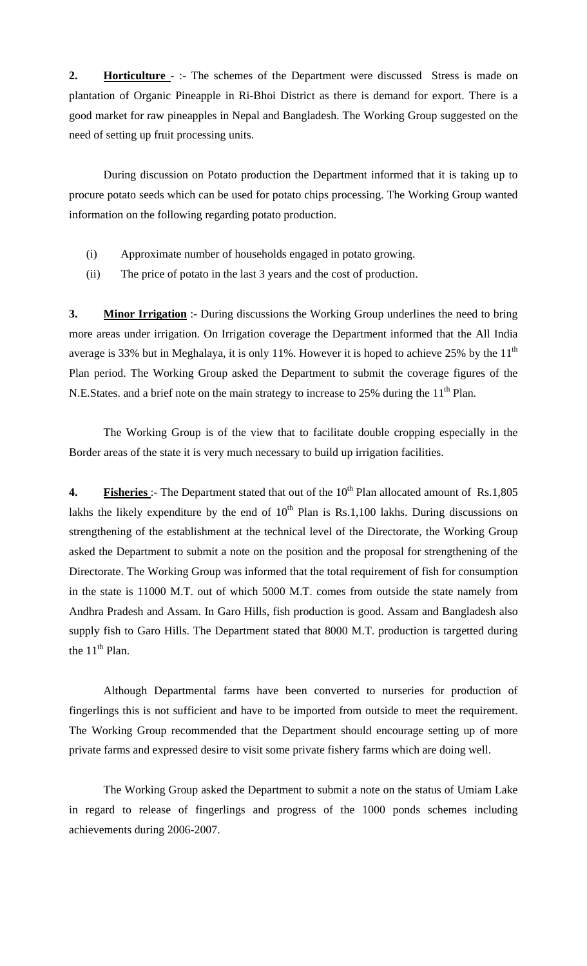**2. Horticulture** -:- The schemes of the Department were discussed Stress is made on plantation of Organic Pineapple in Ri-Bhoi District as there is demand for export. There is a good market for raw pineapples in Nepal and Bangladesh. The Working Group suggested on the need of setting up fruit processing units.

 During discussion on Potato production the Department informed that it is taking up to procure potato seeds which can be used for potato chips processing. The Working Group wanted information on the following regarding potato production.

- (i) Approximate number of households engaged in potato growing.
- (ii) The price of potato in the last 3 years and the cost of production.

**3. Minor Irrigation** :- During discussions the Working Group underlines the need to bring more areas under irrigation. On Irrigation coverage the Department informed that the All India average is 33% but in Meghalaya, it is only 11%. However it is hoped to achieve 25% by the  $11<sup>th</sup>$ Plan period. The Working Group asked the Department to submit the coverage figures of the N.E.States. and a brief note on the main strategy to increase to 25% during the  $11<sup>th</sup>$  Plan.

 The Working Group is of the view that to facilitate double cropping especially in the Border areas of the state it is very much necessary to build up irrigation facilities.

**4. Fisheries** :- The Department stated that out of the 10<sup>th</sup> Plan allocated amount of Rs.1,805 lakhs the likely expenditure by the end of  $10<sup>th</sup>$  Plan is Rs.1,100 lakhs. During discussions on strengthening of the establishment at the technical level of the Directorate, the Working Group asked the Department to submit a note on the position and the proposal for strengthening of the Directorate. The Working Group was informed that the total requirement of fish for consumption in the state is 11000 M.T. out of which 5000 M.T. comes from outside the state namely from Andhra Pradesh and Assam. In Garo Hills, fish production is good. Assam and Bangladesh also supply fish to Garo Hills. The Department stated that 8000 M.T. production is targetted during the  $11<sup>th</sup>$  Plan.

 Although Departmental farms have been converted to nurseries for production of fingerlings this is not sufficient and have to be imported from outside to meet the requirement. The Working Group recommended that the Department should encourage setting up of more private farms and expressed desire to visit some private fishery farms which are doing well.

 The Working Group asked the Department to submit a note on the status of Umiam Lake in regard to release of fingerlings and progress of the 1000 ponds schemes including achievements during 2006-2007.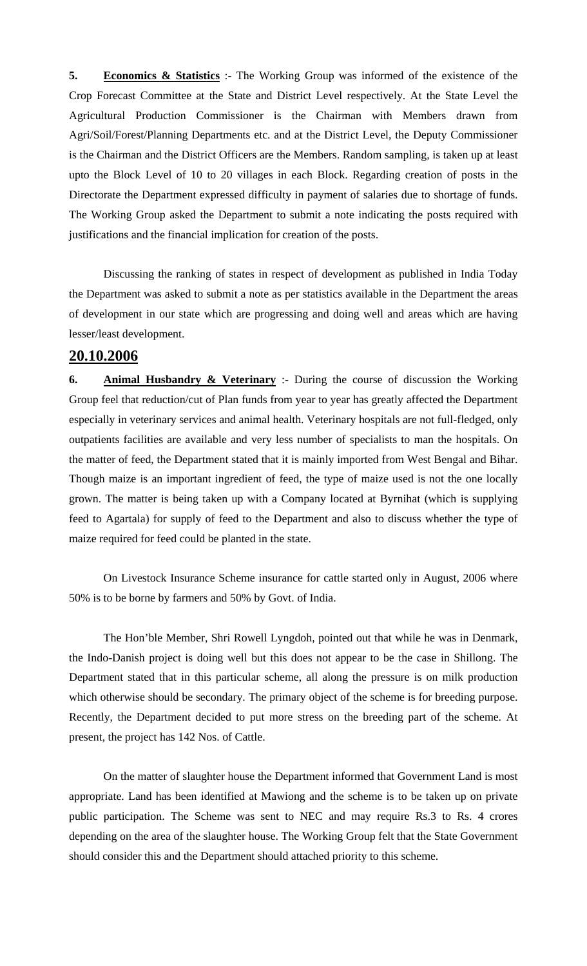**5. Economics & Statistics** :- The Working Group was informed of the existence of the Crop Forecast Committee at the State and District Level respectively. At the State Level the Agricultural Production Commissioner is the Chairman with Members drawn from Agri/Soil/Forest/Planning Departments etc. and at the District Level, the Deputy Commissioner is the Chairman and the District Officers are the Members. Random sampling, is taken up at least upto the Block Level of 10 to 20 villages in each Block. Regarding creation of posts in the Directorate the Department expressed difficulty in payment of salaries due to shortage of funds. The Working Group asked the Department to submit a note indicating the posts required with justifications and the financial implication for creation of the posts.

 Discussing the ranking of states in respect of development as published in India Today the Department was asked to submit a note as per statistics available in the Department the areas of development in our state which are progressing and doing well and areas which are having lesser/least development.

## **20.10.2006**

**6. Animal Husbandry & Veterinary** :- During the course of discussion the Working Group feel that reduction/cut of Plan funds from year to year has greatly affected the Department especially in veterinary services and animal health. Veterinary hospitals are not full-fledged, only outpatients facilities are available and very less number of specialists to man the hospitals. On the matter of feed, the Department stated that it is mainly imported from West Bengal and Bihar. Though maize is an important ingredient of feed, the type of maize used is not the one locally grown. The matter is being taken up with a Company located at Byrnihat (which is supplying feed to Agartala) for supply of feed to the Department and also to discuss whether the type of maize required for feed could be planted in the state.

 On Livestock Insurance Scheme insurance for cattle started only in August, 2006 where 50% is to be borne by farmers and 50% by Govt. of India.

 The Hon'ble Member, Shri Rowell Lyngdoh, pointed out that while he was in Denmark, the Indo-Danish project is doing well but this does not appear to be the case in Shillong. The Department stated that in this particular scheme, all along the pressure is on milk production which otherwise should be secondary. The primary object of the scheme is for breeding purpose. Recently, the Department decided to put more stress on the breeding part of the scheme. At present, the project has 142 Nos. of Cattle.

 On the matter of slaughter house the Department informed that Government Land is most appropriate. Land has been identified at Mawiong and the scheme is to be taken up on private public participation. The Scheme was sent to NEC and may require Rs.3 to Rs. 4 crores depending on the area of the slaughter house. The Working Group felt that the State Government should consider this and the Department should attached priority to this scheme.